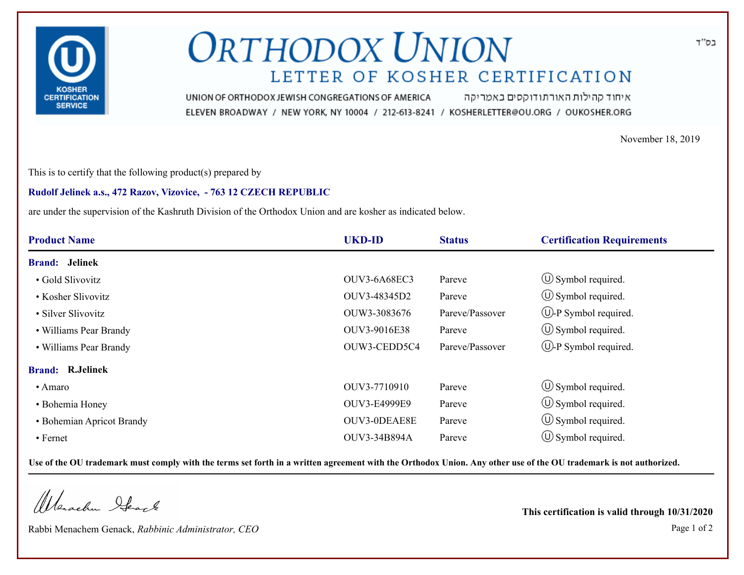

## **ORTHODOX UNION** LETTER OF KOSHER CERTIFICATION

איחוד קהילות האורתודוקסים באמריקה UNION OF ORTHODOX JEWISH CONGREGATIONS OF AMERICA ELEVEN BROADWAY / NEW YORK, NY 10004 / 212-613-8241 / KOSHERLETTER@OU.ORG / OUKOSHER.ORG

November 18, 2019

This is to certify that the following product(s) prepared by

## **Rudolf Jelinek a.s., 472 Razov, Vizovice, - 763 12 CZECH REPUBLIC**

are under the supervision of the Kashruth Division of the Orthodox Union and are kosher as indicated below.

| <b>Product Name</b>       | <b>UKD-ID</b> | <b>Status</b>   | <b>Certification Requirements</b> |
|---------------------------|---------------|-----------------|-----------------------------------|
| <b>Brand:</b> Jelinek     |               |                 |                                   |
| • Gold Slivovitz          | OUV3-6A68EC3  | Pareve          | $\circ$ Symbol required.          |
| • Kosher Slivovitz        | OUV3-48345D2  | Pareve          | $\circ$ Symbol required.          |
| • Silver Slivovitz        | OUW3-3083676  | Pareve/Passover | $\bigcup$ -P Symbol required.     |
| • Williams Pear Brandy    | OUV3-9016E38  | Pareve          | $\circ$ Symbol required.          |
| • Williams Pear Brandy    | OUW3-CEDD5C4  | Pareve/Passover | $(\cup)$ -P Symbol required.      |
| <b>Brand: R.Jelinek</b>   |               |                 |                                   |
| • Amaro                   | OUV3-7710910  | Pareve          | $\circled{1}$ Symbol required.    |
| • Bohemia Honey           | OUV3-E4999E9  | Pareve          | $\circled{1}$ Symbol required.    |
| • Bohemian Apricot Brandy | OUV3-0DEAE8E  | Pareve          | $\circled{1}$ Symbol required.    |
| • Fernet                  | OUV3-34B894A  | Pareve          | $(\cup)$ Symbol required.         |

**Use of the OU trademark must comply with the terms set forth in a written agreement with the Orthodox Union. Any other use of the OU trademark is not authorized.**

Werschn Stack

Rabbi Menachem Genack, *Rabbinic Administrator, CEO* Page 1 of 2

**This certification is valid through 10/31/2020**

בס"ד